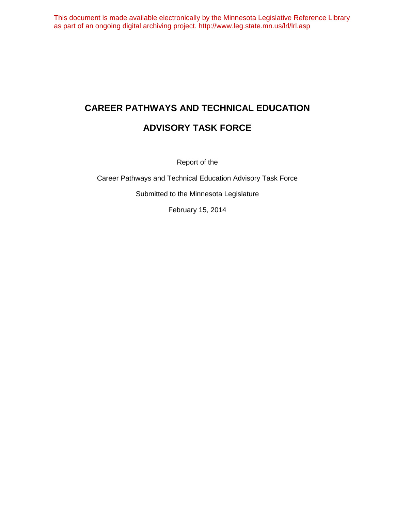# **CAREER PATHWAYS AND TECHNICAL EDUCATION ADVISORY TASK FORCE**

Report of the

Career Pathways and Technical Education Advisory Task Force

Submitted to the Minnesota Legislature

February 15, 2014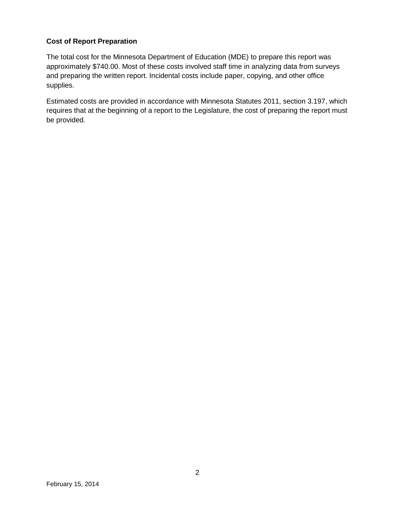### **Cost of Report Preparation**

The total cost for the Minnesota Department of Education (MDE) to prepare this report was approximately \$740.00. Most of these costs involved staff time in analyzing data from surveys and preparing the written report. Incidental costs include paper, copying, and other office supplies.

Estimated costs are provided in accordance with Minnesota Statutes 2011, section 3.197, which requires that at the beginning of a report to the Legislature, the cost of preparing the report must be provided.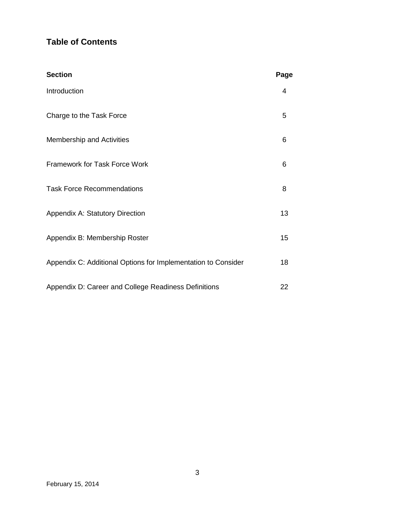### **Table of Contents**

| <b>Section</b>                                                | Page |
|---------------------------------------------------------------|------|
| Introduction                                                  | 4    |
| Charge to the Task Force                                      | 5    |
| <b>Membership and Activities</b>                              | 6    |
| Framework for Task Force Work                                 | 6    |
| <b>Task Force Recommendations</b>                             | 8    |
| <b>Appendix A: Statutory Direction</b>                        | 13   |
| Appendix B: Membership Roster                                 | 15   |
| Appendix C: Additional Options for Implementation to Consider | 18   |
| Appendix D: Career and College Readiness Definitions          | 22   |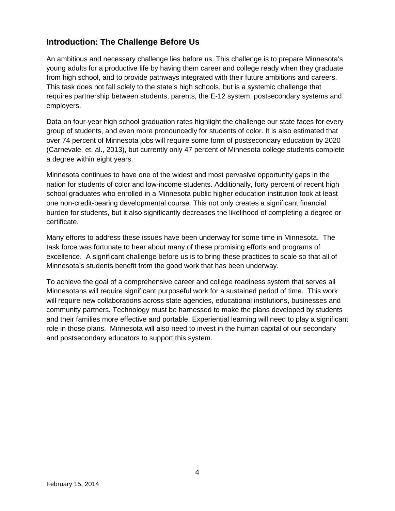### **Introduction: The Challenge Before Us**

An ambitious and necessary challenge lies before us. This challenge is to prepare Minnesota's young adults for a productive life by having them career and college ready when they graduate from high school, and to provide pathways integrated with their future ambitions and careers. This task does not fall solely to the state's high schools, but is a systemic challenge that requires partnership between students, parents, the E-12 system, postsecondary systems and employers.

Data on four-year high school graduation rates highlight the challenge our state faces for every group of students, and even more pronouncedly for students of color. It is also estimated that over 74 percent of Minnesota jobs will require some form of postsecondary education by 2020 (Carnevale, et. al., 2013), but currently only 47 percent of Minnesota college students complete a degree within eight years.

Minnesota continues to have one of the widest and most pervasive opportunity gaps in the nation for students of color and low-income students. Additionally, forty percent of recent high school graduates who enrolled in a Minnesota public higher education institution took at least one non-credit-bearing developmental course. This not only creates a significant financial burden for students, but it also significantly decreases the likelihood of completing a degree or certificate.

Many efforts to address these issues have been underway for some time in Minnesota. The task force was fortunate to hear about many of these promising efforts and programs of excellence. A significant challenge before us is to bring these practices to scale so that all of Minnesota's students benefit from the good work that has been underway.

To achieve the goal of a comprehensive career and college readiness system that serves all Minnesotans will require significant purposeful work for a sustained period of time. This work will require new collaborations across state agencies, educational institutions, businesses and community partners. Technology must be harnessed to make the plans developed by students and their families more effective and portable. Experiential learning will need to play a significant role in those plans. Minnesota will also need to invest in the human capital of our secondary and postsecondary educators to support this system.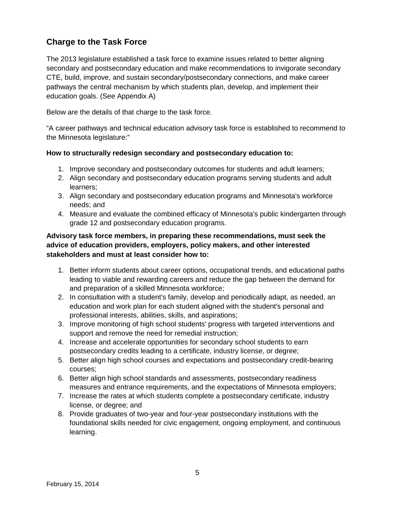### **Charge to the Task Force**

The 2013 legislature established a task force to examine issues related to better aligning secondary and postsecondary education and make recommendations to invigorate secondary CTE, build, improve, and sustain secondary/postsecondary connections, and make career pathways the central mechanism by which students plan, develop, and implement their education goals. (See Appendix A)

Below are the details of that charge to the task force.

"A career pathways and technical education advisory task force is established to recommend to the Minnesota legislature:"

### **How to structurally redesign secondary and postsecondary education to:**

- 1. Improve secondary and postsecondary outcomes for students and adult learners;
- 2. Align secondary and postsecondary education programs serving students and adult learners;
- 3. Align secondary and postsecondary education programs and Minnesota's workforce needs; and
- 4. Measure and evaluate the combined efficacy of Minnesota's public kindergarten through grade 12 and postsecondary education programs.

### **Advisory task force members, in preparing these recommendations, must seek the advice of education providers, employers, policy makers, and other interested stakeholders and must at least consider how to:**

- 1. Better inform students about career options, occupational trends, and educational paths leading to viable and rewarding careers and reduce the gap between the demand for and preparation of a skilled Minnesota workforce;
- 2. In consultation with a student's family, develop and periodically adapt, as needed, an education and work plan for each student aligned with the student's personal and professional interests, abilities, skills, and aspirations;
- 3. Improve monitoring of high school students' progress with targeted interventions and support and remove the need for remedial instruction;
- 4. Increase and accelerate opportunities for secondary school students to earn postsecondary credits leading to a certificate, industry license, or degree;
- 5. Better align high school courses and expectations and postsecondary credit-bearing courses;
- 6. Better align high school standards and assessments, postsecondary readiness measures and entrance requirements, and the expectations of Minnesota employers;
- 7. Increase the rates at which students complete a postsecondary certificate, industry license, or degree; and
- 8. Provide graduates of two-year and four-year postsecondary institutions with the foundational skills needed for civic engagement, ongoing employment, and continuous learning.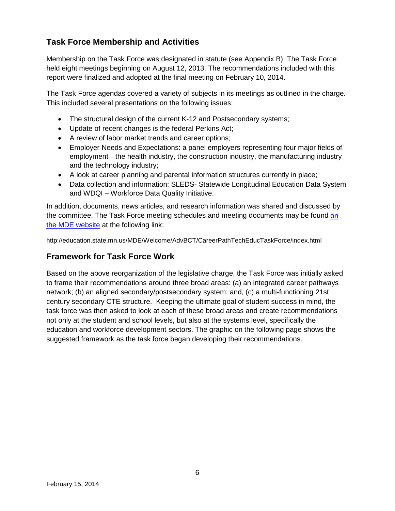### **Task Force Membership and Activities**

Membership on the Task Force was designated in statute (see Appendix B). The Task Force held eight meetings beginning on August 12, 2013. The recommendations included with this report were finalized and adopted at the final meeting on February 10, 2014.

The Task Force agendas covered a variety of subjects in its meetings as outlined in the charge. This included several presentations on the following issues:

- The structural design of the current K-12 and Postsecondary systems;
- Update of recent changes is the federal Perkins Act;
- A review of labor market trends and career options;
- Employer Needs and Expectations: a panel employers representing four major fields of employment—the health industry, the construction industry, the manufacturing industry and the technology industry;
- A look at career planning and parental information structures currently in place;
- Data collection and information: SLEDS- Statewide Longitudinal Education Data System and WDQI – Workforce Data Quality Initiative.

In addition, documents, news articles, and research information was shared and discussed by the committee. The Task Force meeting schedules and meeting documents may be found on the MDE website at the following link:

http://education.state.mn.us/MDE/Welcome/AdvBCT/CareerPathTechEducTaskForce/index.html

### **Framework for Task Force Work**

Based on the above reorganization of the legislative charge, the Task Force was initially asked to frame their recommendations around three broad areas: (a) an integrated career pathways network; (b) an aligned secondary/postsecondary system; and, (c) a multi-functioning 21st century secondary CTE structure. Keeping the ultimate goal of student success in mind, the task force was then asked to look at each of these broad areas and create recommendations not only at the student and school levels, but also at the systems level, specifically the education and workforce development sectors. The graphic on the following page shows the suggested framework as the task force began developing their recommendations.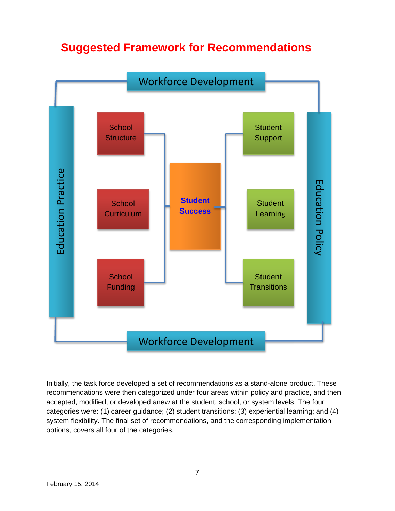## **Suggested Framework for Recommendations**



Initially, the task force developed a set of recommendations as a stand-alone product. These recommendations were then categorized under four areas within policy and practice, and then accepted, modified, or developed anew at the student, school, or system levels. The four categories were: (1) career guidance; (2) student transitions; (3) experiential learning; and (4) system flexibility. The final set of recommendations, and the corresponding implementation options, covers all four of the categories.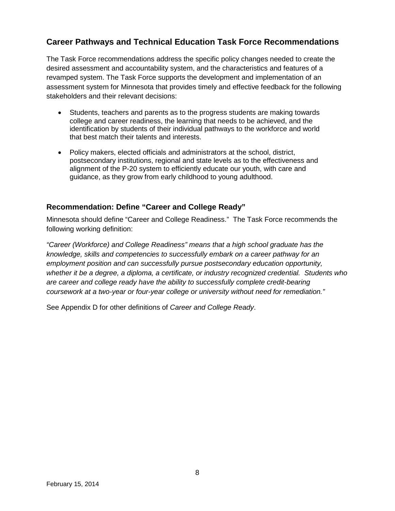### **Career Pathways and Technical Education Task Force Recommendations**

The Task Force recommendations address the specific policy changes needed to create the desired assessment and accountability system, and the characteristics and features of a revamped system. The Task Force supports the development and implementation of an assessment system for Minnesota that provides timely and effective feedback for the following stakeholders and their relevant decisions:

- Students, teachers and parents as to the progress students are making towards college and career readiness, the learning that needs to be achieved, and the identification by students of their individual pathways to the workforce and world that best match their talents and interests.
- Policy makers, elected officials and administrators at the school, district, postsecondary institutions, regional and state levels as to the effectiveness and alignment of the P-20 system to efficiently educate our youth, with care and guidance, as they grow from early childhood to young adulthood.

### **Recommendation: Define "Career and College Ready"**

Minnesota should define "Career and College Readiness." The Task Force recommends the following working definition:

*"Career (Workforce) and College Readiness" means that a high school graduate has the knowledge, skills and competencies to successfully embark on a career pathway for an employment position and can successfully pursue postsecondary education opportunity, whether it be a degree, a diploma, a certificate, or industry recognized credential. Students who are career and college ready have the ability to successfully complete credit-bearing coursework at a two-year or four-year college or university without need for remediation."* 

See Appendix D for other definitions of *Career and College Ready*.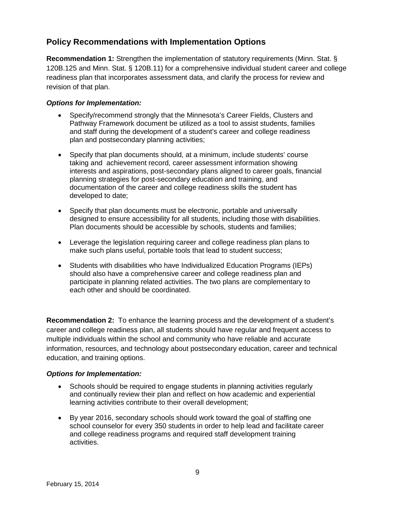### **Policy Recommendations with Implementation Options**

**Recommendation 1:** Strengthen the implementation of statutory requirements (Minn. Stat. § 120B.125 and Minn. Stat. § 120B.11) for a comprehensive individual student career and college readiness plan that incorporates assessment data, and clarify the process for review and revision of that plan.

### *Options for Implementation:*

- Specify/recommend strongly that the Minnesota's Career Fields, Clusters and Pathway Framework document be utilized as a tool to assist students, families and staff during the development of a student's career and college readiness plan and postsecondary planning activities;
- Specify that plan documents should, at a minimum, include students' course taking and achievement record, career assessment information showing interests and aspirations, post-secondary plans aligned to career goals, financial planning strategies for post-secondary education and training, and documentation of the career and college readiness skills the student has developed to date;
- Specify that plan documents must be electronic, portable and universally designed to ensure accessibility for all students, including those with disabilities. Plan documents should be accessible by schools, students and families;
- Leverage the legislation requiring career and college readiness plan plans to make such plans useful, portable tools that lead to student success;
- Students with disabilities who have Individualized Education Programs (IEPs) should also have a comprehensive career and college readiness plan and participate in planning related activities. The two plans are complementary to each other and should be coordinated.

**Recommendation 2:** To enhance the learning process and the development of a student's career and college readiness plan, all students should have regular and frequent access to multiple individuals within the school and community who have reliable and accurate information, resources, and technology about postsecondary education, career and technical education, and training options.

### *Options for Implementation:*

- Schools should be required to engage students in planning activities regularly and continually review their plan and reflect on how academic and experiential learning activities contribute to their overall development;
- By year 2016, secondary schools should work toward the goal of staffing one school counselor for every 350 students in order to help lead and facilitate career and college readiness programs and required staff development training activities.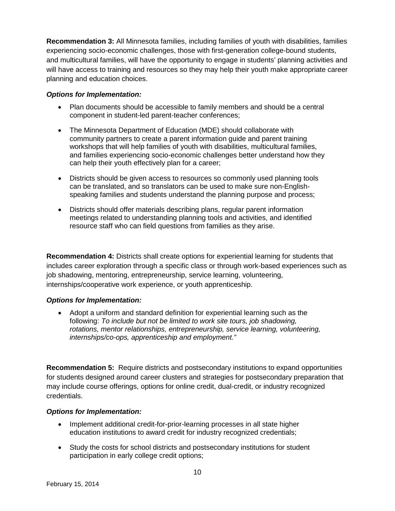**Recommendation 3:** All Minnesota families, including families of youth with disabilities, families experiencing socio-economic challenges, those with first-generation college-bound students, and multicultural families, will have the opportunity to engage in students' planning activities and will have access to training and resources so they may help their youth make appropriate career planning and education choices.

### *Options for Implementation:*

- Plan documents should be accessible to family members and should be a central component in student-led parent-teacher conferences;
- The Minnesota Department of Education (MDE) should collaborate with community partners to create a parent information guide and parent training workshops that will help families of youth with disabilities, multicultural families, and families experiencing socio-economic challenges better understand how they can help their youth effectively plan for a career;
- Districts should be given access to resources so commonly used planning tools can be translated, and so translators can be used to make sure non-Englishspeaking families and students understand the planning purpose and process;
- Districts should offer materials describing plans, regular parent information meetings related to understanding planning tools and activities, and identified resource staff who can field questions from families as they arise.

**Recommendation 4:** Districts shall create options for experiential learning for students that includes career exploration through a specific class or through work-based experiences such as job shadowing, mentoring, entrepreneurship, service learning, volunteering, internships/cooperative work experience, or youth apprenticeship.

### *Options for Implementation:*

• Adopt a uniform and standard definition for experiential learning such as the following: *To include but not be limited to work site tours, job shadowing, rotations, mentor relationships, entrepreneurship, service learning, volunteering, internships/co-ops, apprenticeship and employment."*

**Recommendation 5:** Require districts and postsecondary institutions to expand opportunities for students designed around career clusters and strategies for postsecondary preparation that may include course offerings, options for online credit, dual-credit, or industry recognized credentials.

### *Options for Implementation:*

- Implement additional credit-for-prior-learning processes in all state higher education institutions to award credit for industry recognized credentials;
- Study the costs for school districts and postsecondary institutions for student participation in early college credit options;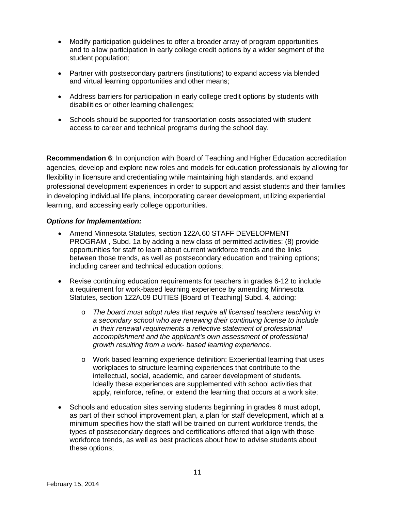- Modify participation guidelines to offer a broader array of program opportunities and to allow participation in early college credit options by a wider segment of the student population;
- Partner with postsecondary partners (institutions) to expand access via blended and virtual learning opportunities and other means;
- Address barriers for participation in early college credit options by students with disabilities or other learning challenges;
- Schools should be supported for transportation costs associated with student access to career and technical programs during the school day.

**Recommendation 6**: In conjunction with Board of Teaching and Higher Education accreditation agencies, develop and explore new roles and models for education professionals by allowing for flexibility in licensure and credentialing while maintaining high standards, and expand professional development experiences in order to support and assist students and their families in developing individual life plans, incorporating career development, utilizing experiential learning, and accessing early college opportunities.

#### *Options for Implementation:*

- Amend Minnesota Statutes, section 122A.60 STAFF DEVELOPMENT PROGRAM , Subd. 1a by adding a new class of permitted activities: (8) provide opportunities for staff to learn about current workforce trends and the links between those trends, as well as postsecondary education and training options; including career and technical education options;
- Revise continuing education requirements for teachers in grades 6-12 to include a requirement for work-based learning experience by amending Minnesota Statutes, section 122A.09 DUTIES [Board of Teaching] Subd. 4, adding:
	- o *The board must adopt rules that require all licensed teachers teaching in a secondary school who are renewing their continuing license to include in their renewal requirements a reflective statement of professional accomplishment and the applicant's own assessment of professional growth resulting from a work- based learning experience.*
	- o Work based learning experience definition: Experiential learning that uses workplaces to structure learning experiences that contribute to the intellectual, social, academic, and career development of students. Ideally these experiences are supplemented with school activities that apply, reinforce, refine, or extend the learning that occurs at a work site;
- Schools and education sites serving students beginning in grades 6 must adopt, as part of their school improvement plan, a plan for staff development, which at a minimum specifies how the staff will be trained on current workforce trends, the types of postsecondary degrees and certifications offered that align with those workforce trends, as well as best practices about how to advise students about these options;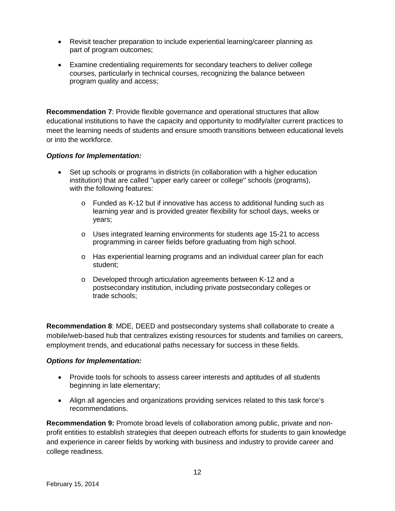- Revisit teacher preparation to include experiential learning/career planning as part of program outcomes;
- Examine credentialing requirements for secondary teachers to deliver college courses, particularly in technical courses, recognizing the balance between program quality and access;

**Recommendation 7**: Provide flexible governance and operational structures that allow educational institutions to have the capacity and opportunity to modify/alter current practices to meet the learning needs of students and ensure smooth transitions between educational levels or into the workforce.

### *Options for Implementation:*

- Set up schools or programs in districts (in collaboration with a higher education institution) that are called "upper early career or college" schools (programs), with the following features:
	- $\circ$  Funded as K-12 but if innovative has access to additional funding such as learning year and is provided greater flexibility for school days, weeks or years;
	- o Uses integrated learning environments for students age 15-21 to access programming in career fields before graduating from high school.
	- o Has experiential learning programs and an individual career plan for each student;
	- o Developed through articulation agreements between K-12 and a postsecondary institution, including private postsecondary colleges or trade schools;

**Recommendation 8**: MDE, DEED and postsecondary systems shall collaborate to create a mobile/web-based hub that centralizes existing resources for students and families on careers, employment trends, and educational paths necessary for success in these fields.

### *Options for Implementation:*

- Provide tools for schools to assess career interests and aptitudes of all students beginning in late elementary;
- Align all agencies and organizations providing services related to this task force's recommendations.

**Recommendation 9:** Promote broad levels of collaboration among public, private and nonprofit entities to establish strategies that deepen outreach efforts for students to gain knowledge and experience in career fields by working with business and industry to provide career and college readiness.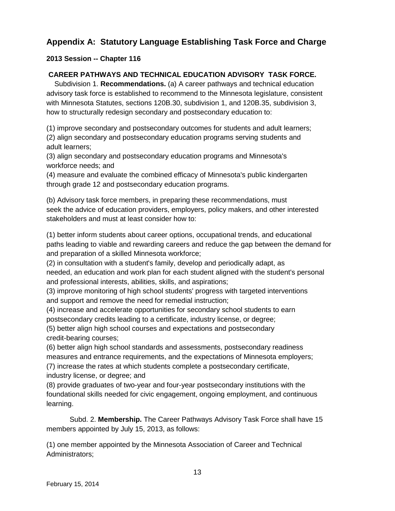### **Appendix A: Statutory Language Establishing Task Force and Charge**

### **2013 Session -- Chapter 116**

### **CAREER PATHWAYS AND TECHNICAL EDUCATION ADVISORY TASK FORCE.**

 Subdivision 1. **Recommendations.** (a) A career pathways and technical education advisory task force is established to recommend to the Minnesota legislature, consistent with Minnesota Statutes, sections 120B.30, subdivision 1, and 120B.35, subdivision 3, how to structurally redesign secondary and postsecondary education to:

(1) improve secondary and postsecondary outcomes for students and adult learners; (2) align secondary and postsecondary education programs serving students and adult learners;

(3) align secondary and postsecondary education programs and Minnesota's workforce needs; and

(4) measure and evaluate the combined efficacy of Minnesota's public kindergarten through grade 12 and postsecondary education programs.

(b) Advisory task force members, in preparing these recommendations, must seek the advice of education providers, employers, policy makers, and other interested stakeholders and must at least consider how to:

(1) better inform students about career options, occupational trends, and educational paths leading to viable and rewarding careers and reduce the gap between the demand for and preparation of a skilled Minnesota workforce;

(2) in consultation with a student's family, develop and periodically adapt, as needed, an education and work plan for each student aligned with the student's personal and professional interests, abilities, skills, and aspirations;

(3) improve monitoring of high school students' progress with targeted interventions and support and remove the need for remedial instruction;

(4) increase and accelerate opportunities for secondary school students to earn postsecondary credits leading to a certificate, industry license, or degree;

(5) better align high school courses and expectations and postsecondary credit-bearing courses;

(6) better align high school standards and assessments, postsecondary readiness measures and entrance requirements, and the expectations of Minnesota employers;

(7) increase the rates at which students complete a postsecondary certificate, industry license, or degree; and

(8) provide graduates of two-year and four-year postsecondary institutions with the foundational skills needed for civic engagement, ongoing employment, and continuous learning.

Subd. 2. **Membership.** The Career Pathways Advisory Task Force shall have 15 members appointed by July 15, 2013, as follows:

(1) one member appointed by the Minnesota Association of Career and Technical Administrators;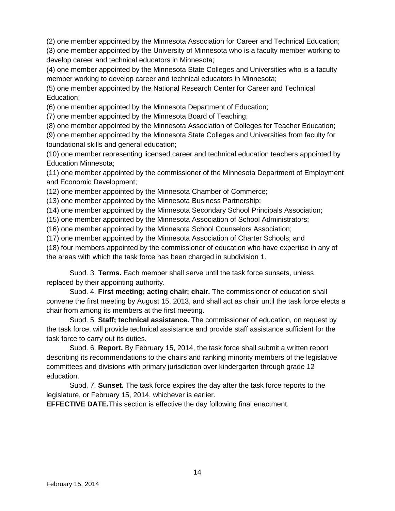(2) one member appointed by the Minnesota Association for Career and Technical Education;

(3) one member appointed by the University of Minnesota who is a faculty member working to develop career and technical educators in Minnesota;

(4) one member appointed by the Minnesota State Colleges and Universities who is a faculty member working to develop career and technical educators in Minnesota;

(5) one member appointed by the National Research Center for Career and Technical Education;

(6) one member appointed by the Minnesota Department of Education;

(7) one member appointed by the Minnesota Board of Teaching;

(8) one member appointed by the Minnesota Association of Colleges for Teacher Education;

(9) one member appointed by the Minnesota State Colleges and Universities from faculty for foundational skills and general education;

(10) one member representing licensed career and technical education teachers appointed by Education Minnesota;

(11) one member appointed by the commissioner of the Minnesota Department of Employment and Economic Development;

(12) one member appointed by the Minnesota Chamber of Commerce;

(13) one member appointed by the Minnesota Business Partnership;

(14) one member appointed by the Minnesota Secondary School Principals Association;

(15) one member appointed by the Minnesota Association of School Administrators;

(16) one member appointed by the Minnesota School Counselors Association;

(17) one member appointed by the Minnesota Association of Charter Schools; and

(18) four members appointed by the commissioner of education who have expertise in any of the areas with which the task force has been charged in subdivision 1.

Subd. 3. **Terms.** Each member shall serve until the task force sunsets, unless replaced by their appointing authority.

 Subd. 4. **First meeting; acting chair; chair.** The commissioner of education shall convene the first meeting by August 15, 2013, and shall act as chair until the task force elects a chair from among its members at the first meeting.

 Subd. 5. **Staff; technical assistance.** The commissioner of education, on request by the task force, will provide technical assistance and provide staff assistance sufficient for the task force to carry out its duties.

 Subd. 6. **Report.** By February 15, 2014, the task force shall submit a written report describing its recommendations to the chairs and ranking minority members of the legislative committees and divisions with primary jurisdiction over kindergarten through grade 12 education.

 Subd. 7. **Sunset.** The task force expires the day after the task force reports to the legislature, or February 15, 2014, whichever is earlier.

**EFFECTIVE DATE.**This section is effective the day following final enactment.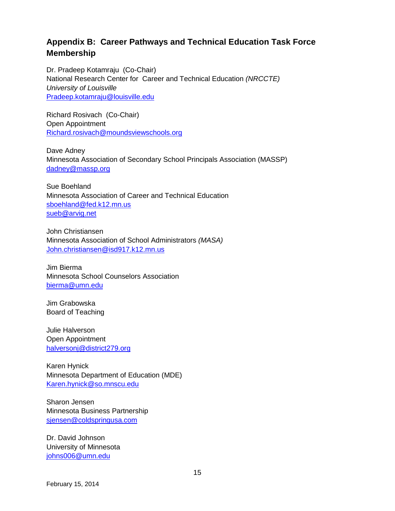### **Appendix B: Career Pathways and Technical Education Task Force Membership**

Dr. Pradeep Kotamraju (Co-Chair) National Research Center for Career and Technical Education *(NRCCTE) University of Louisville* Pradeep.kotamraju@louisville.edu

Richard Rosivach (Co-Chair) Open Appointment Richard.rosivach@moundsviewschools.org

Dave Adney Minnesota Association of Secondary School Principals Association (MASSP) dadney@massp.org

Sue Boehland Minnesota Association of Career and Technical Education sboehland@fed.k12.mn.us sueb@arvig.net

John Christiansen Minnesota Association of School Administrators *(MASA)* John.christiansen@isd917.k12.mn.us

Jim Bierma Minnesota School Counselors Association bierma@umn.edu

Jim Grabowska Board of Teaching

Julie Halverson Open Appointment halversonj@district279.org

Karen Hynick Minnesota Department of Education (MDE) Karen.hynick@so.mnscu.edu

Sharon Jensen Minnesota Business Partnership sjensen@coldspringusa.com

Dr. David Johnson University of Minnesota johns006@umn.edu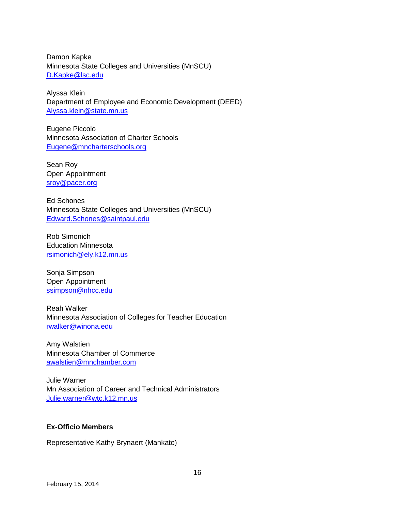Damon Kapke Minnesota State Colleges and Universities (MnSCU) D.Kapke@lsc.edu

Alyssa Klein Department of Employee and Economic Development (DEED) Alyssa.klein@state.mn.us

Eugene Piccolo Minnesota Association of Charter Schools Eugene@mncharterschools.org

Sean Roy Open Appointment sroy@pacer.org

Ed Schones Minnesota State Colleges and Universities (MnSCU) Edward.Schones@saintpaul.edu

Rob Simonich Education Minnesota rsimonich@ely.k12.mn.us

Sonja Simpson Open Appointment ssimpson@nhcc.edu

Reah Walker Minnesota Association of Colleges for Teacher Education rwalker@winona.edu

Amy Walstien Minnesota Chamber of Commerce awalstien@mnchamber.com

Julie Warner Mn Association of Career and Technical Administrators Julie.warner@wtc.k12.mn.us

### **Ex-Officio Members**

Representative Kathy Brynaert (Mankato)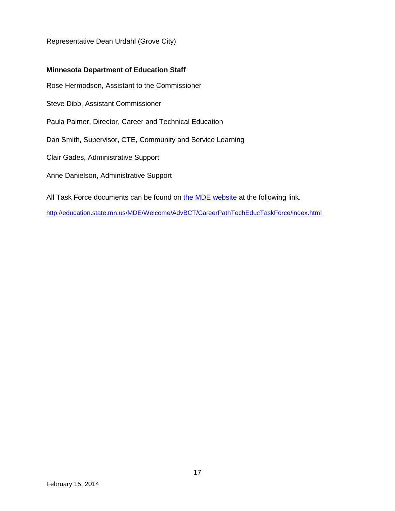Representative Dean Urdahl (Grove City)

#### **Minnesota Department of Education Staff**

Rose Hermodson, Assistant to the Commissioner

Steve Dibb, Assistant Commissioner

Paula Palmer, Director, Career and Technical Education

Dan Smith, Supervisor, CTE, Community and Service Learning

Clair Gades, Administrative Support

Anne Danielson, Administrative Support

All Task Force documents can be found on the MDE website at the following link.

http://education.state.mn.us/MDE/Welcome/AdvBCT/CareerPathTechEducTaskForce/index.html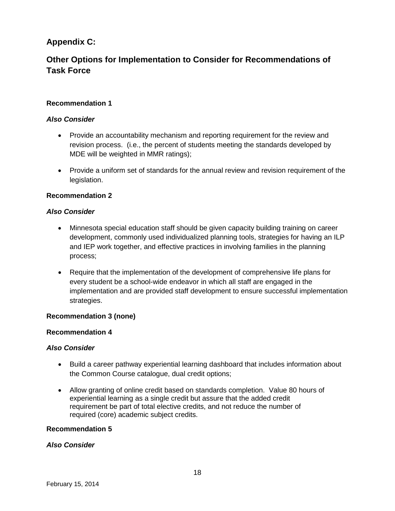### **Appendix C:**

### **Other Options for Implementation to Consider for Recommendations of Task Force**

### **Recommendation 1**

### *Also Consider*

- Provide an accountability mechanism and reporting requirement for the review and revision process. (i.e., the percent of students meeting the standards developed by MDE will be weighted in MMR ratings);
- Provide a uniform set of standards for the annual review and revision requirement of the legislation.

### **Recommendation 2**

#### *Also Consider*

- Minnesota special education staff should be given capacity building training on career development, commonly used individualized planning tools, strategies for having an ILP and IEP work together, and effective practices in involving families in the planning process;
- Require that the implementation of the development of comprehensive life plans for every student be a school-wide endeavor in which all staff are engaged in the implementation and are provided staff development to ensure successful implementation strategies.

#### **Recommendation 3 (none)**

#### **Recommendation 4**

#### *Also Consider*

- Build a career pathway experiential learning dashboard that includes information about the Common Course catalogue, dual credit options;
- Allow granting of online credit based on standards completion. Value 80 hours of experiential learning as a single credit but assure that the added credit requirement be part of total elective credits, and not reduce the number of required (core) academic subject credits.

#### **Recommendation 5**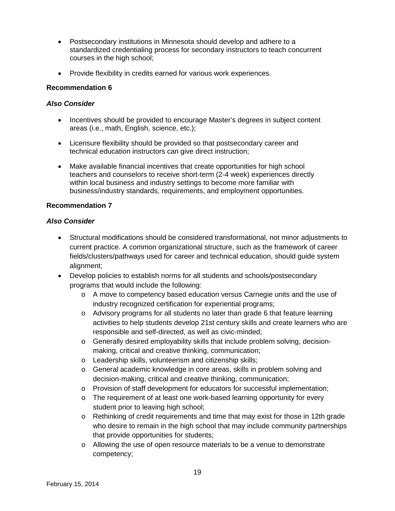- Postsecondary institutions in Minnesota should develop and adhere to a standardized credentialing process for secondary instructors to teach concurrent courses in the high school;
- Provide flexibility in credits earned for various work experiences.

### **Recommendation 6**

### *Also Consider*

- Incentives should be provided to encourage Master's degrees in subject content areas (i.e., math, English, science, etc.);
- Licensure flexibility should be provided so that postsecondary career and technical education instructors can give direct instruction;
- Make available financial incentives that create opportunities for high school teachers and counselors to receive short-term (2-4 week) experiences directly within local business and industry settings to become more familiar with business/industry standards, requirements, and employment opportunities.

### **Recommendation 7**

- Structural modifications should be considered transformational, not minor adjustments to current practice. A common organizational structure, such as the framework of career fields/clusters/pathways used for career and technical education, should guide system alignment;
- Develop policies to establish norms for all students and schools/postsecondary programs that would include the following:
	- o A move to competency based education versus Carnegie units and the use of industry recognized certification for experiential programs;
	- $\circ$  Advisory programs for all students no later than grade 6 that feature learning activities to help students develop 21st century skills and create learners who are responsible and self-directed, as well as civic-minded;
	- o Generally desired employability skills that include problem solving, decisionmaking, critical and creative thinking, communication;
	- o Leadership skills, volunteerism and citizenship skills;
	- o General academic knowledge in core areas, skills in problem solving and decision-making, critical and creative thinking, communication;
	- o Provision of staff development for educators for successful implementation;
	- o The requirement of at least one work-based learning opportunity for every student prior to leaving high school;
	- $\circ$  Rethinking of credit requirements and time that may exist for those in 12th grade who desire to remain in the high school that may include community partnerships that provide opportunities for students;
	- o Allowing the use of open resource materials to be a venue to demonstrate competency;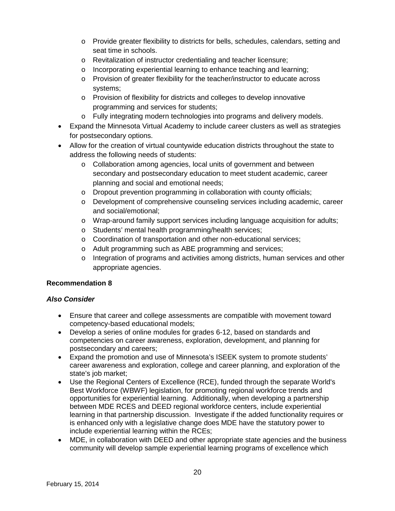- o Provide greater flexibility to districts for bells, schedules, calendars, setting and seat time in schools.
- o Revitalization of instructor credentialing and teacher licensure;
- o Incorporating experiential learning to enhance teaching and learning;
- o Provision of greater flexibility for the teacher/instructor to educate across systems;
- o Provision of flexibility for districts and colleges to develop innovative programming and services for students;
- o Fully integrating modern technologies into programs and delivery models.
- Expand the Minnesota Virtual Academy to include career clusters as well as strategies for postsecondary options.
- Allow for the creation of virtual countywide education districts throughout the state to address the following needs of students:
	- o Collaboration among agencies, local units of government and between secondary and postsecondary education to meet student academic, career planning and social and emotional needs;
	- o Dropout prevention programming in collaboration with county officials;
	- o Development of comprehensive counseling services including academic, career and social/emotional;
	- o Wrap-around family support services including language acquisition for adults;
	- o Students' mental health programming/health services;
	- o Coordination of transportation and other non-educational services;
	- o Adult programming such as ABE programming and services;
	- o Integration of programs and activities among districts, human services and other appropriate agencies.

### **Recommendation 8**

- Ensure that career and college assessments are compatible with movement toward competency-based educational models;
- Develop a series of online modules for grades 6-12, based on standards and competencies on career awareness, exploration, development, and planning for postsecondary and careers;
- Expand the promotion and use of Minnesota's ISEEK system to promote students' career awareness and exploration, college and career planning, and exploration of the state's job market:
- Use the Regional Centers of Excellence (RCE), funded through the separate World's Best Workforce (WBWF) legislation, for promoting regional workforce trends and opportunities for experiential learning. Additionally, when developing a partnership between MDE RCES and DEED regional workforce centers, include experiential learning in that partnership discussion. Investigate if the added functionality requires or is enhanced only with a legislative change does MDE have the statutory power to include experiential learning within the RCEs;
- MDE, in collaboration with DEED and other appropriate state agencies and the business community will develop sample experiential learning programs of excellence which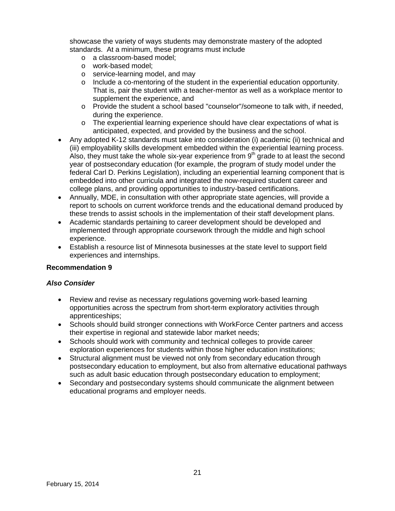showcase the variety of ways students may demonstrate mastery of the adopted standards. At a minimum, these programs must include

- o a classroom-based model;
- o work-based model;
- o service-learning model, and may
- o Include a co-mentoring of the student in the experiential education opportunity. That is, pair the student with a teacher-mentor as well as a workplace mentor to supplement the experience, and
- o Provide the student a school based "counselor"/someone to talk with, if needed, during the experience.
- $\circ$  The experiential learning experience should have clear expectations of what is anticipated, expected, and provided by the business and the school.
- Any adopted K-12 standards must take into consideration (i) academic (ii) technical and (iii) employability skills development embedded within the experiential learning process. Also, they must take the whole six-year experience from  $9<sup>th</sup>$  grade to at least the second year of postsecondary education (for example, the program of study model under the federal Carl D. Perkins Legislation), including an experiential learning component that is embedded into other curricula and integrated the now-required student career and college plans, and providing opportunities to industry-based certifications.
- Annually, MDE, in consultation with other appropriate state agencies, will provide a report to schools on current workforce trends and the educational demand produced by these trends to assist schools in the implementation of their staff development plans.
- Academic standards pertaining to career development should be developed and implemented through appropriate coursework through the middle and high school experience.
- Establish a resource list of Minnesota businesses at the state level to support field experiences and internships.

### **Recommendation 9**

- Review and revise as necessary regulations governing work-based learning opportunities across the spectrum from short-term exploratory activities through apprenticeships;
- Schools should build stronger connections with WorkForce Center partners and access their expertise in regional and statewide labor market needs;
- Schools should work with community and technical colleges to provide career exploration experiences for students within those higher education institutions;
- Structural alignment must be viewed not only from secondary education through postsecondary education to employment, but also from alternative educational pathways such as adult basic education through postsecondary education to employment;
- Secondary and postsecondary systems should communicate the alignment between educational programs and employer needs.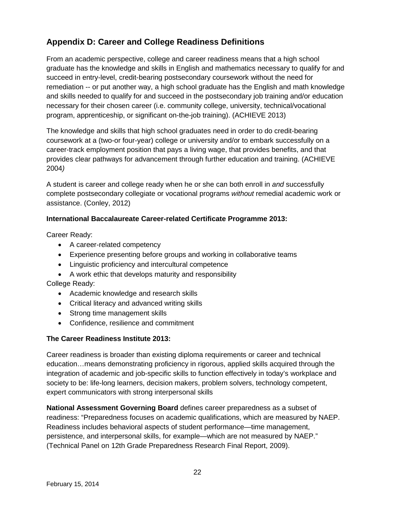### **Appendix D: Career and College Readiness Definitions**

From an academic perspective, college and career readiness means that a high school graduate has the knowledge and skills in English and mathematics necessary to qualify for and succeed in entry-level, credit-bearing postsecondary coursework without the need for remediation -- or put another way, a high school graduate has the English and math knowledge and skills needed to qualify for and succeed in the postsecondary job training and/or education necessary for their chosen career (i.e. community college, university, technical/vocational program, apprenticeship, or significant on-the-job training). (ACHIEVE 2013)

The knowledge and skills that high school graduates need in order to do credit-bearing coursework at a (two-or four-year) college or university and/or to embark successfully on a career-track employment position that pays a living wage, that provides benefits, and that provides clear pathways for advancement through further education and training. (ACHIEVE 2004*)* 

A student is career and college ready when he or she can both enroll in *and* successfully complete postsecondary collegiate or vocational programs *without* remedial academic work or assistance. (Conley, 2012)

### **International Baccalaureate Career-related Certificate Programme 2013:**

Career Ready:

- A career-related competency
- Experience presenting before groups and working in collaborative teams
- Linguistic proficiency and intercultural competence
- A work ethic that develops maturity and responsibility

College Ready:

- Academic knowledge and research skills
- Critical literacy and advanced writing skills
- Strong time management skills
- Confidence, resilience and commitment

### **The Career Readiness Institute 2013:**

Career readiness is broader than existing diploma requirements or career and technical education…means demonstrating proficiency in rigorous, applied skills acquired through the integration of academic and job-specific skills to function effectively in today's workplace and society to be: life-long learners, decision makers, problem solvers, technology competent, expert communicators with strong interpersonal skills

**National Assessment Governing Board** defines career preparedness as a subset of readiness: "Preparedness focuses on academic qualifications, which are measured by NAEP. Readiness includes behavioral aspects of student performance—time management, persistence, and interpersonal skills, for example—which are not measured by NAEP." (Technical Panel on 12th Grade Preparedness Research Final Report, 2009).